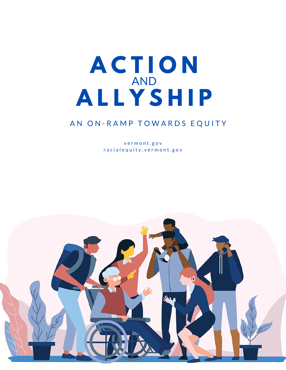# **A C T I O N A L L Y S H I P** AND

# AN ON-RAMP TOWARDS EQUITY

v e r m o n t . g o v r a c i a l e q u i t y . v e r m o n t . g o v

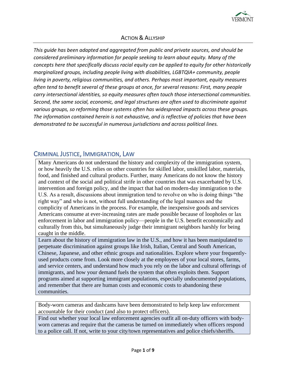

#### ACTION & ALLYSHIP

*This guide has been adapted and aggregated from public and private sources, and should be considered preliminary information for people seeking to learn about equity. Many of the concepts here that specifically discuss racial equity can be applied to equity for other historically marginalized groups, including people living with disabilities, LGBTQIA+ community, people living in poverty, religious communities, and others. Perhaps most important, equity measures often tend to benefit several of these groups at once, for several reasons: First, many people carry intersectional identities, so equity measures often touch those intersectional communities. Second, the same social, economic, and legal structures are often used to discriminate against various groups, so reforming those systems often has widespread impacts across these groups. The information contained herein is not exhaustive, and is reflective of policies that have been demonstrated to be successful in numerous jurisdictions and across political lines.* 

#### CRIMINAL JUSTICE, IMMIGRATION, LAW

Many Americans do not understand the history and complexity of the immigration system, or how heavily the U.S. relies on other countries for skilled labor, unskilled labor, materials, food, and finished and cultural products. Further, many Americans do not know the history and context of the social and political strife in other countries that was exacerbated by U.S. intervention and foreign policy, and the impact that had on modern-day immigration to the U.S. As a result, discussions about immigration tend to revolve on who is doing things "the right way" and who is not, without full understanding of the legal nuances and the complicity of Americans in the process. For example, the inexpensive goods and services Americans consume at ever-increasing rates are made possible because of loopholes or lax enforcement in labor and immigration policy—people in the U.S. benefit economically and culturally from this, but simultaneously judge their immigrant neighbors harshly for being caught in the middle.

Learn about the history of immigration law in the U.S., and how it has been manipulated to perpetuate discrimination against groups like Irish, Italian, Central and South American, Chinese, Japanese, and other ethnic groups and nationalities. Explore where your frequentlyused products come from. Look more closely at the employees of your local stores, farms, and service centers, and understand how much you rely on the labor and cultural offerings of immigrants, and how your demand fuels the system that often exploits them. Support programs aimed at supporting immigrant populations, especially undocumented populations, and remember that there are human costs and economic costs to abandoning these communities.

Body-worn cameras and dashcams have been demonstrated to help keep law enforcement accountable for their conduct (and also to protect officers).

Find out whether your local law enforcement agencies outfit all on-duty officers with bodyworn cameras and require that the cameras be turned on immediately when officers respond to a police call. If not, write to your city/town representatives and police chiefs/sheriffs.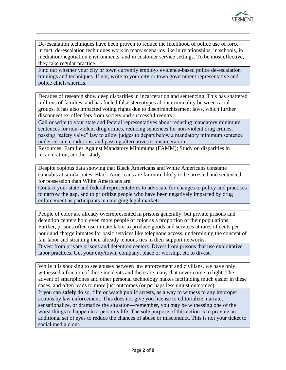

De-escalation techniques have been proven to reduce the likelihood of police use of force in fact, de-escalation techniques work in many scenarios like in relationships, in schools, in mediation/negotiation environments, and in customer service settings. To be most effective, they take regular practice.

Find out whether your city or town currently employs evidence-based police de-escalation trainings and techniques. If not, write to your city or town government representative and police chiefs/sheriffs.

Decades of research show deep disparities in incarceration and sentencing. This has shattered millions of families, and has fueled false stereotypes about criminality between racial groups. It has also impacted voting rights due to disenfranchisement laws, which further disconnect ex-offenders from society and successful reentry.

Call or write to your state and federal representatives about reducing mandatory minimum sentences for non-violent drug crimes, reducing sentences for non-violent drug crimes, passing "safety valve" law to allow judges to depart below a mandatory minimum sentence under certain conditions, and passing alternatives to incarceration.

Resources: [Families Against Mandatory Minimums \(FAMM\);](http://famm.org/) [Study](https://scholarship.law.umn.edu/cgi/viewcontent.cgi?article=1035&context=lawineq) on disparities in incarceration; another [study](https://scholarlycommons.law.northwestern.edu/cgi/viewcontent.cgi?article=6336&context=jclc)

Despite copious data showing that Black Americans and White Americans consume cannabis at similar rates, Black Americans are far more likely to be arrested and sentenced for possession than White Americans are.

Contact your state and federal representatives to advocate for changes to policy and practices to narrow the gap, and to prioritize people who have been negatively impacted by drug enforcement as participants in emerging legal markets.

People of color are already overrepresented in prisons generally, but private prisons and detention centers hold even more people of color as a proportion of their populations. Further, prisons often use inmate labor to produce goods and services at rates of cents per hour and charge inmates for basic services like telephone access, undermining the concept of fair labor and straining their already tenuous ties to their support networks.

Divest from private prisons and detention centers. Divest from prisons that use exploitative labor practices. Get your city/town, company, place or worship, etc to divest.

While it is shocking to see abuses between law enforcement and civilians, we have only witnessed a fraction of these incidents and there are many that never come to light. The advent of smartphones and other personal technology makes factfinding much easier in these cases, and often leads to more just outcomes (or perhaps less unjust outcomes).

If you can **safely** do so, film or watch public arrests, as a way to witness to any improper actions by law enforcement. This does not give you license to editorialize, narrate, sensationalize, or dramatize the situation—remember, you may be witnessing one of the worst things to happen in a person's life. The sole purpose of this action is to provide an additional set of eyes to reduce the chances of abuse or misconduct. This is not your ticket to social media clout.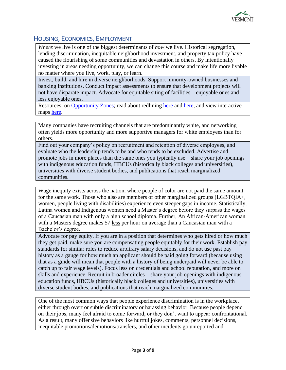

# HOUSING, ECONOMICS, EMPLOYMENT

*Where* we live is one of the biggest determinants of *how* we live. Historical segregation, lending discrimination, inequitable neighborhood investment, and property tax policy have caused the flourishing of some communities and devastation in others. By intentionally investing in areas needing opportunity, we can change this course and make life more livable no matter where you live, work, play, or learn.

Invest, build, and hire in diverse neighborhoods. Support minority-owned businesses and banking institutions. Conduct impact assessments to ensure that development projects will not have disparate impact. Advocate for equitable siting of facilities—enjoyable ones and less enjoyable ones.

Resources: on [Opportunity Zones;](https://www.policylink.org/sites/default/files/PolicyLink%20Recommendations%20for%20Opportunity%20Zones%20.pdf) read about redlining [here](https://www.washingtonpost.com/news/wonk/wp/2018/03/28/redlining-was-banned-50-years-ago-its-still-hurting-minorities-today/) and [here,](https://www.citylab.com/equity/2018/04/how-the-fair-housing-act-failed-black-homeowners/557576/) and view interactive maps [here.](https://dsl.richmond.edu/panorama/redlining/)

Many companies have recruiting channels that are predominantly white, and networking often yields more opportunity and more supportive managers for white employees than for others.

Find out your company's policy on recruitment and retention of diverse employees, and evaluate who the leadership tends to be and who tends to be excluded. Advertise and promote jobs in more places than the same ones you typically use—share your job openings with indigenous education funds, HBCUs (historically black colleges and universities), universities with diverse student bodies, and publications that reach marginalized communities.

Wage inequity exists across the nation, where people of color are not paid the same amount for the same work. Those who also are members of other marginalized groups (LGBTQIA+, women, people living with disabilities) experience even steeper gaps in income. Statistically, Latina women and Indigenous women need a Master's degree before they surpass the wages of a Caucasian man with only a high school diploma. Further, An African-American woman with a Masters degree makes \$7 less per hour on average than a Caucasian man with a Bachelor's degree.

Advocate for pay equity. If you are in a position that determines who gets hired or how much they get paid, make sure you are compensating people equitably for their work. Establish pay standards for similar roles to reduce arbitrary salary decisions, and do not use past pay history as a gauge for how much an applicant should be paid going forward (because using that as a guide will mean that people with a history of being underpaid will never be able to catch up to fair wage levels). Focus less on credentials and school reputation, and more on skills and experience. Recruit in broader circles—share your job openings with indigenous education funds, HBCUs (historically black colleges and universities), universities with diverse student bodies, and publications that reach marginalized communities.

One of the most common ways that people experience discrimination is in the workplace, either through overt or subtle discriminatory or harassing behavior. Because people depend on their jobs, many feel afraid to come forward, or they don't want to appear confrontational. As a result, many offensive behaviors like hurtful jokes, comments, personnel decisions, inequitable promotions/demotions/transfers, and other incidents go unreported and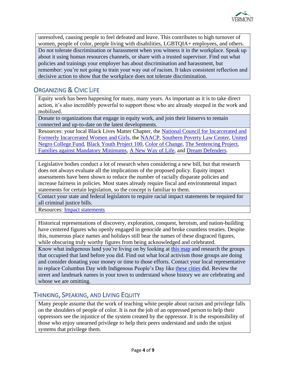

unresolved, causing people to feel defeated and leave. This contributes to high turnover of women, people of color, people living with disabilities, LGBTQIA+ employees, and others. Do not tolerate discrimination or harassment when you witness it in the workplace. Speak up about it using human resources channels, or share with a trusted supervisor. Find out what policies and trainings your employer has about discrimination and harassment, but remember: you're not going to train your way out of racism. It takes consistent reflection and decisive action to show that the workplace does not tolerate discrimination.

## ORGANIZING & CIVIC LIFE

Equity work has been happening for many, many years. As important as it is to take direct action, it's also incredibly powerful to support those who are already steeped in the work and mobilized.

Donate to organizations that engage in equity work, and join their listservs to remain connected and up-to-date on the latest developments.

Resources: your local Black Lives Matter Chapter, the [National Council for Incarcerated and](https://www.nationalcouncil.us/)  [Formerly Incarcerated](https://www.nationalcouncil.us/) Women and Girls, the [NAACP,](http://www.naacp.org/) [Southern Poverty Law Center,](https://www.splcenter.org/) [United](https://www.uncf.org/)  [Negro College Fund,](https://www.uncf.org/) [Black Youth Project 100,](http://byp100.org/) [Color of Change,](https://www.colorofchange.org/) [The Sentencing Project,](http://www.sentencingproject.org/) [Families against Mandatory Minimums,](http://famm.org/) [A New Way of Life,](http://anewwayoflife.org/) and [Dream Defenders.](http://dreamdefenders.org/)

Legislative bodies conduct a lot of research when considering a new bill, but that research does not always evaluate all the implications of the proposed policy. Equity impact assessments have been shown to reduce the number of racially disparate policies and increase fairness in policies. Most states already require fiscal and environmental impact statements for certain legislation, so the concept is familiar to them.

Contact your state and federal legislators to require racial impact statements be required for all criminal justice bills.

Resources: [Impact statements](https://www.law.uw.edu/wlr/print-edition/print-edition/vol-89/4/racial-impact-statements-considering-the-consequences-of-racial-disproportionalities-in-the-criminal-justice-system)

Historical representations of discovery, exploration, conquest, heroism, and nation-building have centered figures who openly engaged in genocide and broke countless treaties. Despite this, numerous place names and holidays still bear the names of these disgraced figures, while obscuring truly worthy figures from being acknowledged and celebrated.

Know what indigenous land you're living on by looking at [this map](https://native-land.ca/) and research the groups that occupied that land before you did. Find out what local activism those groups are doing and consider donating your money or time to those efforts. Contact your local representative to replace Columbus Day with Indigenous People's Day like [these cities](http://time.com/4968067/indigenous-peoples-day-columbus-day-cities/) did. Review the street and landmark names in your town to understand whose history we are celebrating and whose we are omitting.

#### THINKING, SPEAKING, AND LIVING EQUITY

Many people assume that the work of teaching white people about racism and privilege falls on the shoulders of people of color. It is not the job of an oppressed person to help their oppressors see the injustice of the system created by the oppressor. It is the responsibility of those who enjoy unearned privilege to help their peers understand and undo the unjust systems that privilege them.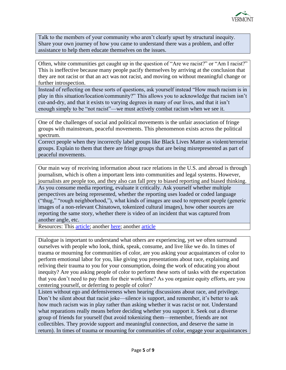

Talk to the members of your community who aren't clearly upset by structural inequity. Share your own journey of how you came to understand there was a problem, and offer assistance to help them educate themselves on the issues.

Often, white communities get caught up in the question of "Are we racist?" or "Am I racist?" This is ineffective because many people pacify themselves by arriving at the conclusion that they are not racist or that an act was not racist, and moving on without meaningful change or further introspection.

Instead of reflecting on these sorts of questions, ask yourself instead "How much racism is in play in this situation/location/community?" This allows you to acknowledge that racism isn't cut-and-dry, and that it exists to varying degrees in many of our lives, and that it isn't enough simply to be "not racist"—we must actively combat racism when we see it.

One of the challenges of social and political movements is the unfair association of fringe groups with mainstream, peaceful movements. This phenomenon exists across the political spectrum.

Correct people when they incorrectly label groups like Black Lives Matter as violent/terrorist groups. Explain to them that there are fringe groups that are being misrepresented as part of peaceful movements.

Our main way of receiving information about race relations in the U.S. and abroad is through journalism, which is often a important lens into communities and legal systems. However, journalists are people too, and they also can fall prey to biased reporting and biased thinking. As you consume media reporting, evaluate it critically. Ask yourself whether multiple perspectives are being represented, whether the reporting uses loaded or coded language ("thug," "rough neighborhood,"), what kinds of images are used to represent people (generic images of a non-relevant Chinatown, tokenized cultural images), how other sources are reporting the same story, whether there is video of an incident that was captured from another angle, etc.

Resources: This [article;](http://www.huffingtonpost.com/van-jones/black-people-loot-food-wh_b_6614.html) another [here;](http://www.huffingtonpost.com/2014/08/14/media-black-victims_n_5673291.html) another [article](https://www.cjr.org/criticism/opioid-crisis-photos.php?link)

Dialogue is important to understand what others are experiencing, yet we often surround ourselves with people who look, think, speak, consume, and live like we do. In times of trauma or mourning for communities of color, are you asking your acquaintances of color to perform emotional labor for you, like giving you presentations about race, explaining and reliving their trauma to you for your consumption, doing the work of educating you about inequity? Are you asking people of color to perform these sorts of tasks with the expectation that you don't need to pay them for their work/time? As you organize equity efforts, are you centering yourself, or deferring to people of color?

Listen without ego and defensiveness when hearing discussions about race, and privilege. Don't be silent about that racist joke—silence is support, and remember, it's better to ask how much racism was in play rather than asking whether it was racist or not. Understand what reparations really means before deciding whether you support it. Seek out a diverse group of friends for yourself (but avoid tokenizing them—remember, friends are not collectibles. They provide support and meaningful connection, and deserve the same in return). In times of trauma or mourning for communities of color, engage your acquaintances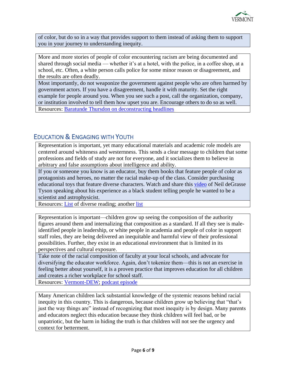

of color, but do so in a way that provides support to them instead of asking them to support you in your journey to understanding inequity.

More and more stories of people of color encountering racism are being documented and shared through social media — whether it's at a hotel, with the police, in a coffee shop, at a school, etc. Often, a white person calls police for some minor reason or disagreement, and the results are often deadly.

Most importantly, do not weaponize the government against people who are often harmed by government actors. If you have a disagreement, handle it with maturity. Set the right example for people around you. When you see such a post, call the organization, company, or institution involved to tell them how upset you are. Encourage others to do so as well. Resources: [Baratunde Thursdon on deconstructing headlines](https://www.ted.com/talks/baratunde_thurston_how_to_deconstruct_racism_one_headline_at_a_time?language=en)

## EDUCATION & ENGAGING WITH YOUTH

Representation is important, yet many educational materials and academic role models are centered around whiteness and westernness. This sends a clear message to children that some professions and fields of study are not for everyone, and it socializes them to believe in arbitrary and false assumptions about intelligence and ability.

If you or someone you know is an educator, buy them books that feature people of color as protagonists and heroes, no matter the racial make-up of the class. Consider purchasing educational toys that feature diverse characters. Watch and share this [video](https://www.youtube.com/watch?v=z7ihNLEDiuM) of Neil deGrasse Tyson speaking about his experience as a black student telling people he wanted to be a scientist and astrophysicist.

Resources: [List](https://www.npr.org/sections/ed/2014/06/05/318539208/a-diverse-summerreading-list-for-kids) of diverse reading; another [list](https://americanindiansinchildrensliterature.blogspot.com/2018/12/aicls-best-books-of-2018.html)

Representation is important—children grow up seeing the composition of the authority figures around them and internalizing that composition as a standard. If all they see is maleidentified people in leadership, or white people in academia and people of color in support staff roles, they are being delivered an inequitable and harmful view of their professional possibilities. Further, they exist in an educational environment that is limited in its perspectives and cultural exposure.

Take note of the racial composition of faculty at your local schools, and advocate for diversifying the educator workforce. Again, don't tokenize them—this is not an exercise in feeling better about yourself, it is a proven practice that improves education for all children and creates a richer workplace for school staff.

Resources: [Vermont-DEW;](https://www.newenglandssc.org/states/vermont/) [podcast episode](http://revisionisthistory.com/episodes/13-miss-buchanans-period-of-adjustment)

Many American children lack substantial knowledge of the systemic reasons behind racial inequity in this country. This is dangerous, because children grow up believing that "that's just the way things are" instead of recognizing that most inequity is by design. Many parents and educators neglect this education because they think children will feel bad, or be unpatriotic, but the harm in hiding the truth is that children will not see the urgency and context for betterment.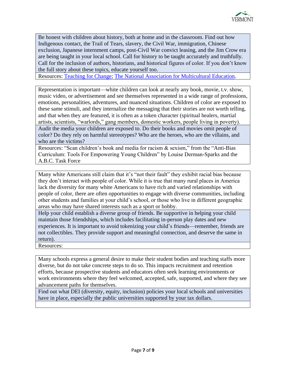

Be honest with children about history, both at home and in the classroom. Find out how Indigenous contact, the Trail of Tears, slavery, the Civil War, immigration, Chinese exclusion, Japanese internment camps, post-Civil War convict leasing, and the Jim Crow era are being taught in your local school. Call for history to be taught accurately and truthfully. Call for the inclusion of authors, historians, and historical figures of color. If you don't know the full story about these topics, educate yourself too.

Resources: [Teaching for Change;](http://www.teachingforchange.org/) [The National Association for Multicultural Education.](https://nameorg.org/)

Representation is important—white children can look at nearly any book, movie, t.v. show, music video, or advertisement and see themselves represented in a wide range of professions, emotions, personalities, adventures, and nuanced situations. Children of color are exposed to these same stimuli, and they internalize the messaging that their stories are not worth telling, and that when they are featured, it is often as a token character (spiritual healers, martial artists, scientists, "warlords," gang members, domestic workers, people living in poverty). Audit the media your children are exposed to. Do their books and movies omit people of color? Do they rely on harmful stereotypes? Who are the heroes, who are the villains, and who are the victims?

Resources: "Scan children's book and media for racism & sexism," from the "Anti-Bias Curriculum: Tools For Empowering Young Children" by Louise Derman-Sparks and the A.B.C. Task Force

Many white Americans still claim that it's "not their fault" they exhibit racial bias because they don't interact with people of color. While it is true that many rural places in America lack the diversity for many white Americans to have rich and varied relationships with people of color, there are often opportunities to engage with diverse communities, including other students and families at your child's school, or those who live in different geographic areas who may have shared interests such as a sport or hobby.

Help your child establish a diverse group of friends. Be supportive in helping your child maintain those friendships, which includes facilitating in-person play dates and new experiences. It is important to avoid tokenizing your child's friends—remember, friends are not collectibles. They provide support and meaningful connection, and deserve the same in return).

Resources:

Many schools express a general desire to make their student bodies and teaching staffs more diverse, but do not take concrete steps to do so. This impacts recruitment and retention efforts, because prospective students and educators often seek learning environments or work environments where they feel welcomed, accepted, safe, supported, and where they see advancement paths for themselves.

Find out what DEI (diversity, equity, inclusion) policies your local schools and universities have in place, especially the public universities supported by your tax dollars.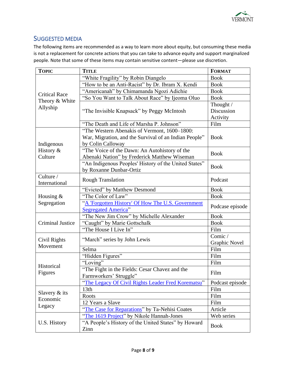

#### SUGGESTED MEDIA

The following items are recommended as a way to learn more about equity, but consuming these media is not a replacement for concrete actions that you can take to advance equity and support marginalized people. Note that some of these items may contain sensitive content—please use discretion.

| <b>TOPIC</b>                                       | <b>TITLE</b>                                          | <b>FORMAT</b>        |
|----------------------------------------------------|-------------------------------------------------------|----------------------|
| <b>Critical Race</b><br>Theory & White<br>Allyship | "White Fragility" by Robin Diangelo                   | <b>Book</b>          |
|                                                    | "How to be an Anti-Racist" by Dr. Ibram X. Kendi      | <b>Book</b>          |
|                                                    | "Americanah" by Chimamanda Ngozi Adichie              | <b>Book</b>          |
|                                                    | "So You Want to Talk About Race" by Ijeoma Oluo       | <b>Book</b>          |
|                                                    | "The Invisible Knapsack" by Peggy McIntosh            | Thought /            |
|                                                    |                                                       | Discussion           |
|                                                    |                                                       | Activity             |
|                                                    | "The Death and Life of Marsha P. Johnson"             | Film                 |
| Indigenous                                         | "The Western Abenakis of Vermont, 1600-1800:          | <b>Book</b>          |
|                                                    | War, Migration, and the Survival of an Indian People" |                      |
|                                                    | by Colin Calloway                                     |                      |
| History &                                          | "The Voice of the Dawn: An Autohistory of the         | <b>Book</b>          |
| Culture                                            | Abenaki Nation" by Frederick Matthew Wiseman          |                      |
|                                                    | "An Indigenous Peoples' History of the United States" |                      |
|                                                    | by Roxanne Dunbar-Ortiz                               | <b>Book</b>          |
| Culture /                                          | <b>Rough Translation</b>                              | Podcast              |
| International                                      |                                                       |                      |
|                                                    | "Evicted" by Matthew Desmond                          | <b>Book</b>          |
| Housing $&$                                        | "The Color of Law"                                    | <b>Book</b>          |
| Segregation                                        | "A 'Forgotten History' Of How The U.S. Government     | Podcase episode      |
|                                                    | <b>Segregated America"</b>                            |                      |
| Criminal Justice                                   | "The New Jim Crow" by Michelle Alexander              | <b>Book</b>          |
|                                                    | "Caught" by Marie Gottschalk                          | <b>Book</b>          |
|                                                    | "The House I Live In"                                 | Film                 |
| Civil Rights<br>Movement                           | "March" series by John Lewis                          | Comic /              |
|                                                    |                                                       | <b>Graphic Novel</b> |
|                                                    | Selma                                                 | Film                 |
| Historical<br>Figures                              | "Hidden Figures"                                      | Film                 |
|                                                    | "Loving"                                              | Film                 |
|                                                    | "The Fight in the Fields: Cesar Chavez and the        | Film                 |
|                                                    | Farmworkers' Struggle"                                |                      |
|                                                    | "The Legacy Of Civil Rights Leader Fred Korematsu"    | Podcast episode      |
| Slavery $&$ its<br>Economic<br>Legacy              | 13th                                                  | Film                 |
|                                                    | Roots                                                 | Film                 |
|                                                    | 12 Years a Slave                                      | Film                 |
|                                                    | "The Case for Reparations" by Ta-Nehisi Coates        | Article              |
| U.S. History                                       | "The 1619 Project" by Nikole Hannah-Jones             | Web series           |
|                                                    | "A People's History of the United States" by Howard   | <b>Book</b>          |
|                                                    | Zinn                                                  |                      |